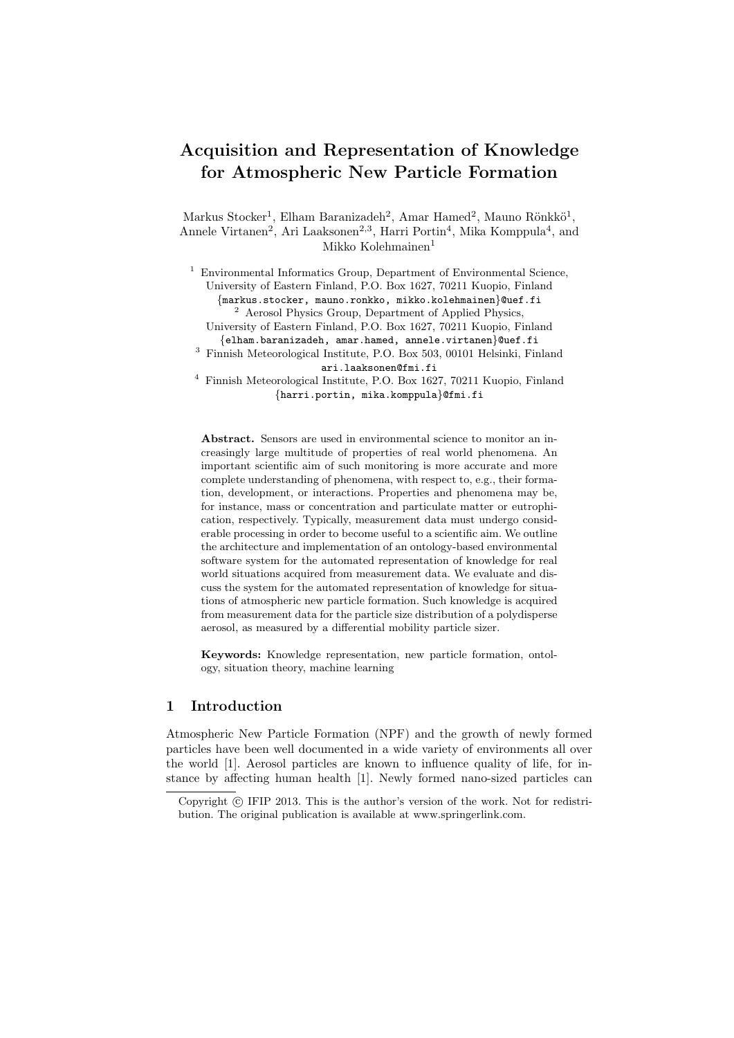# Acquisition and Representation of Knowledge for Atmospheric New Particle Formation

Markus Stocker<sup>1</sup>, Elham Baranizadeh<sup>2</sup>, Amar Hamed<sup>2</sup>, Mauno Rönkkö<sup>1</sup>, Annele Virtanen<sup>2</sup>, Ari Laaksonen<sup>2,3</sup>, Harri Portin<sup>4</sup>, Mika Komppula<sup>4</sup>, and Mikko Kolehmainen<sup>1</sup>

 $1$  Environmental Informatics Group, Department of Environmental Science, University of Eastern Finland, P.O. Box 1627, 70211 Kuopio, Finland {markus.stocker, mauno.ronkko, mikko.kolehmainen}@uef.fi <sup>2</sup> Aerosol Physics Group, Department of Applied Physics,

University of Eastern Finland, P.O. Box 1627, 70211 Kuopio, Finland

{elham.baranizadeh, amar.hamed, annele.virtanen}@uef.fi <sup>3</sup> Finnish Meteorological Institute, P.O. Box 503, 00101 Helsinki, Finland ari.laaksonen@fmi.fi

<sup>4</sup> Finnish Meteorological Institute, P.O. Box 1627, 70211 Kuopio, Finland {harri.portin, mika.komppula}@fmi.fi

Abstract. Sensors are used in environmental science to monitor an increasingly large multitude of properties of real world phenomena. An important scientific aim of such monitoring is more accurate and more complete understanding of phenomena, with respect to, e.g., their formation, development, or interactions. Properties and phenomena may be, for instance, mass or concentration and particulate matter or eutrophication, respectively. Typically, measurement data must undergo considerable processing in order to become useful to a scientific aim. We outline the architecture and implementation of an ontology-based environmental software system for the automated representation of knowledge for real world situations acquired from measurement data. We evaluate and discuss the system for the automated representation of knowledge for situations of atmospheric new particle formation. Such knowledge is acquired from measurement data for the particle size distribution of a polydisperse aerosol, as measured by a differential mobility particle sizer.

Keywords: Knowledge representation, new particle formation, ontology, situation theory, machine learning

# 1 Introduction

Atmospheric New Particle Formation (NPF) and the growth of newly formed particles have been well documented in a wide variety of environments all over the world [1]. Aerosol particles are known to influence quality of life, for instance by affecting human health [1]. Newly formed nano-sized particles can

Copyright © IFIP 2013. This is the author's version of the work. Not for redistribution. The original publication is available at www.springerlink.com.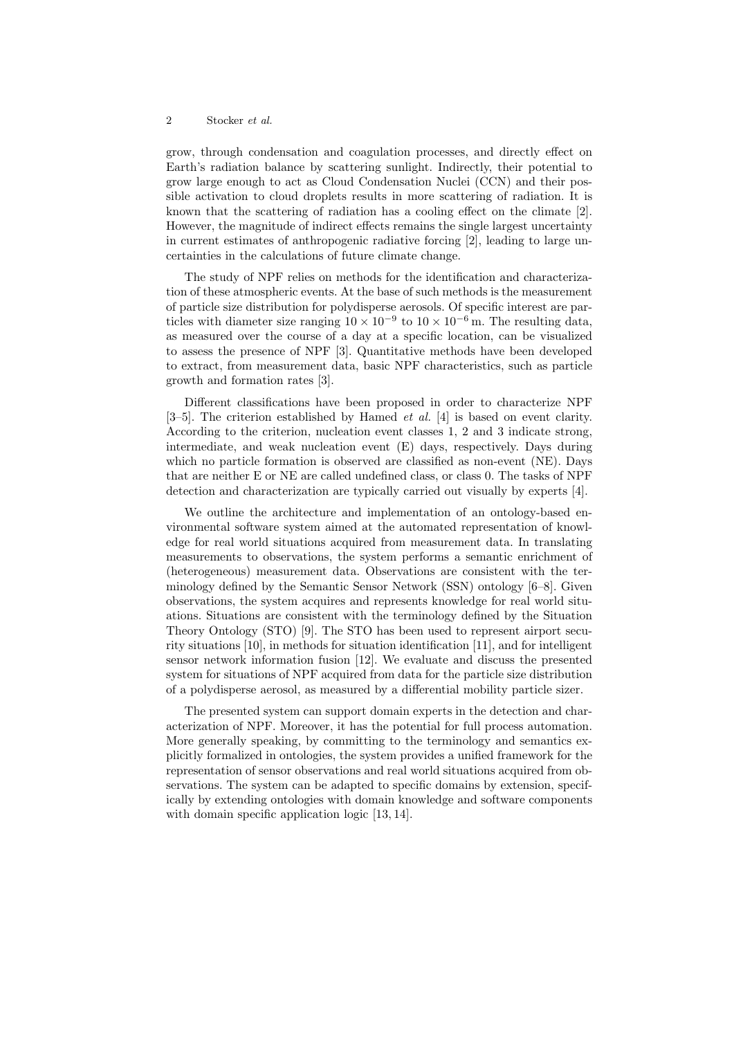grow, through condensation and coagulation processes, and directly effect on Earth's radiation balance by scattering sunlight. Indirectly, their potential to grow large enough to act as Cloud Condensation Nuclei (CCN) and their possible activation to cloud droplets results in more scattering of radiation. It is known that the scattering of radiation has a cooling effect on the climate [2]. However, the magnitude of indirect effects remains the single largest uncertainty in current estimates of anthropogenic radiative forcing [2], leading to large uncertainties in the calculations of future climate change.

The study of NPF relies on methods for the identification and characterization of these atmospheric events. At the base of such methods is the measurement of particle size distribution for polydisperse aerosols. Of specific interest are particles with diameter size ranging  $10 \times 10^{-9}$  to  $10 \times 10^{-6}$  m. The resulting data, as measured over the course of a day at a specific location, can be visualized to assess the presence of NPF [3]. Quantitative methods have been developed to extract, from measurement data, basic NPF characteristics, such as particle growth and formation rates [3].

Different classifications have been proposed in order to characterize NPF  $[3-5]$ . The criterion established by Hamed *et al.* [4] is based on event clarity. According to the criterion, nucleation event classes 1, 2 and 3 indicate strong, intermediate, and weak nucleation event (E) days, respectively. Days during which no particle formation is observed are classified as non-event (NE). Days that are neither E or NE are called undefined class, or class 0. The tasks of NPF detection and characterization are typically carried out visually by experts [4].

We outline the architecture and implementation of an ontology-based environmental software system aimed at the automated representation of knowledge for real world situations acquired from measurement data. In translating measurements to observations, the system performs a semantic enrichment of (heterogeneous) measurement data. Observations are consistent with the terminology defined by the Semantic Sensor Network (SSN) ontology [6–8]. Given observations, the system acquires and represents knowledge for real world situations. Situations are consistent with the terminology defined by the Situation Theory Ontology (STO) [9]. The STO has been used to represent airport security situations [10], in methods for situation identification [11], and for intelligent sensor network information fusion [12]. We evaluate and discuss the presented system for situations of NPF acquired from data for the particle size distribution of a polydisperse aerosol, as measured by a differential mobility particle sizer.

The presented system can support domain experts in the detection and characterization of NPF. Moreover, it has the potential for full process automation. More generally speaking, by committing to the terminology and semantics explicitly formalized in ontologies, the system provides a unified framework for the representation of sensor observations and real world situations acquired from observations. The system can be adapted to specific domains by extension, specifically by extending ontologies with domain knowledge and software components with domain specific application logic [13, 14].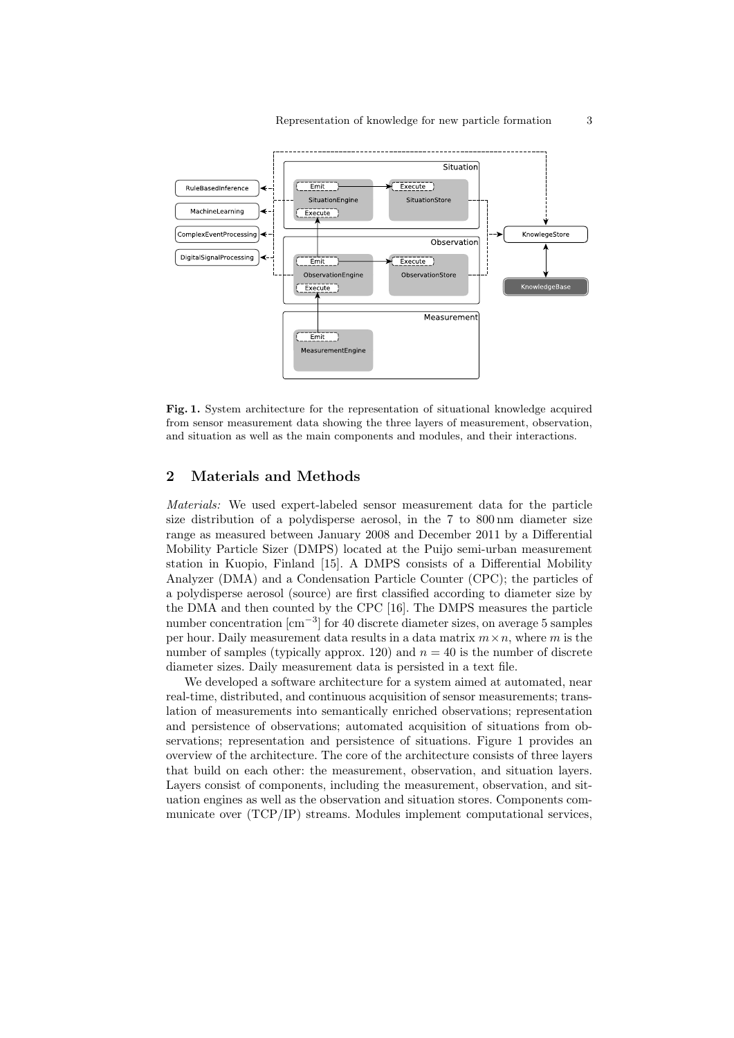

Fig. 1. System architecture for the representation of situational knowledge acquired from sensor measurement data showing the three layers of measurement, observation, and situation as well as the main components and modules, and their interactions.

# 2 Materials and Methods

Materials: We used expert-labeled sensor measurement data for the particle size distribution of a polydisperse aerosol, in the 7 to 800 nm diameter size range as measured between January 2008 and December 2011 by a Differential Mobility Particle Sizer (DMPS) located at the Puijo semi-urban measurement station in Kuopio, Finland [15]. A DMPS consists of a Differential Mobility Analyzer (DMA) and a Condensation Particle Counter (CPC); the particles of a polydisperse aerosol (source) are first classified according to diameter size by the DMA and then counted by the CPC [16]. The DMPS measures the particle number concentration [cm<sup>-3</sup>] for 40 discrete diameter sizes, on average 5 samples per hour. Daily measurement data results in a data matrix  $m \times n$ , where m is the number of samples (typically approx. 120) and  $n = 40$  is the number of discrete diameter sizes. Daily measurement data is persisted in a text file.

We developed a software architecture for a system aimed at automated, near real-time, distributed, and continuous acquisition of sensor measurements; translation of measurements into semantically enriched observations; representation and persistence of observations; automated acquisition of situations from observations; representation and persistence of situations. Figure 1 provides an overview of the architecture. The core of the architecture consists of three layers that build on each other: the measurement, observation, and situation layers. Layers consist of components, including the measurement, observation, and situation engines as well as the observation and situation stores. Components communicate over (TCP/IP) streams. Modules implement computational services,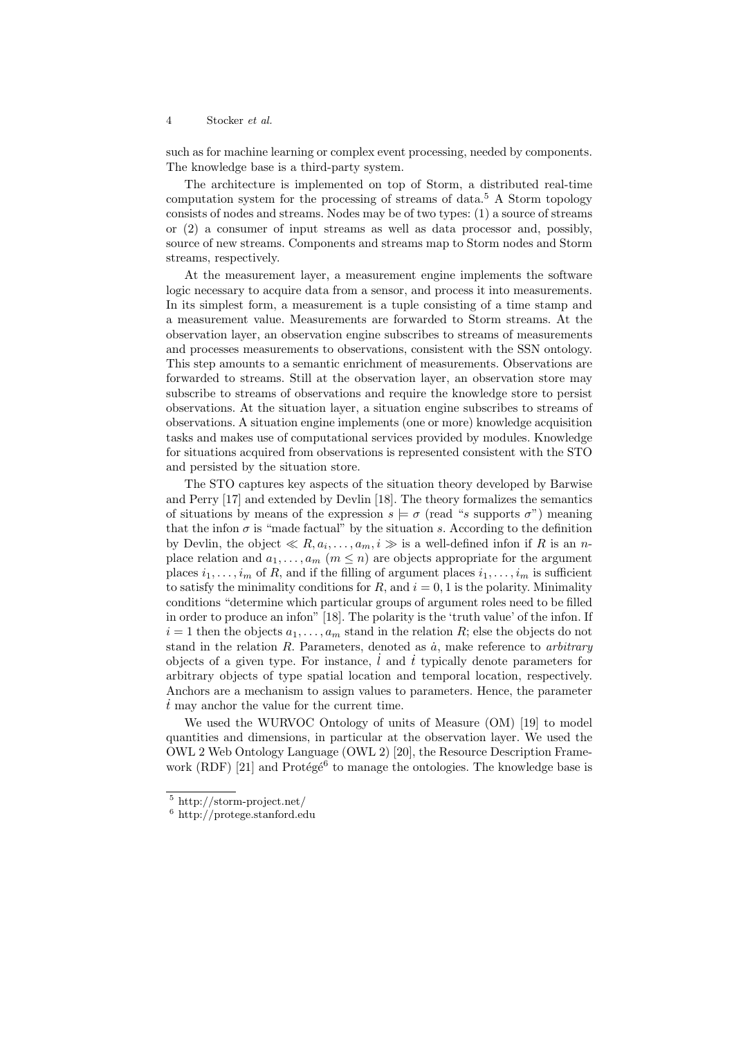such as for machine learning or complex event processing, needed by components. The knowledge base is a third-party system.

The architecture is implemented on top of Storm, a distributed real-time computation system for the processing of streams of data.<sup>5</sup> A Storm topology consists of nodes and streams. Nodes may be of two types: (1) a source of streams or (2) a consumer of input streams as well as data processor and, possibly, source of new streams. Components and streams map to Storm nodes and Storm streams, respectively.

At the measurement layer, a measurement engine implements the software logic necessary to acquire data from a sensor, and process it into measurements. In its simplest form, a measurement is a tuple consisting of a time stamp and a measurement value. Measurements are forwarded to Storm streams. At the observation layer, an observation engine subscribes to streams of measurements and processes measurements to observations, consistent with the SSN ontology. This step amounts to a semantic enrichment of measurements. Observations are forwarded to streams. Still at the observation layer, an observation store may subscribe to streams of observations and require the knowledge store to persist observations. At the situation layer, a situation engine subscribes to streams of observations. A situation engine implements (one or more) knowledge acquisition tasks and makes use of computational services provided by modules. Knowledge for situations acquired from observations is represented consistent with the STO and persisted by the situation store.

The STO captures key aspects of the situation theory developed by Barwise and Perry [17] and extended by Devlin [18]. The theory formalizes the semantics of situations by means of the expression  $s \models \sigma$  (read "s supports  $\sigma$ ") meaning that the infon  $\sigma$  is "made factual" by the situation s. According to the definition by Devlin, the object  $\ll R, a_i, \ldots, a_m, i \gg$  is a well-defined infon if R is an nplace relation and  $a_1, \ldots, a_m$   $(m \leq n)$  are objects appropriate for the argument places  $i_1, \ldots, i_m$  of R, and if the filling of argument places  $i_1, \ldots, i_m$  is sufficient to satisfy the minimality conditions for R, and  $i = 0, 1$  is the polarity. Minimality conditions "determine which particular groups of argument roles need to be filled in order to produce an infon" [18]. The polarity is the 'truth value' of the infon. If  $i = 1$  then the objects  $a_1, \ldots, a_m$  stand in the relation R; else the objects do not stand in the relation R. Parameters, denoted as  $\dot{a}$ , make reference to *arbitrary* objects of a given type. For instance,  $\dot{l}$  and  $\dot{t}$  typically denote parameters for arbitrary objects of type spatial location and temporal location, respectively. Anchors are a mechanism to assign values to parameters. Hence, the parameter  $\dot{t}$  may anchor the value for the current time.

We used the WURVOC Ontology of units of Measure (OM) [19] to model quantities and dimensions, in particular at the observation layer. We used the OWL 2 Web Ontology Language (OWL 2) [20], the Resource Description Framework (RDF) [21] and  $Prot\acute{e}g\acute{e}^6$  to manage the ontologies. The knowledge base is

<sup>5</sup> http://storm-project.net/

 $^6$ http://protege.stanford.edu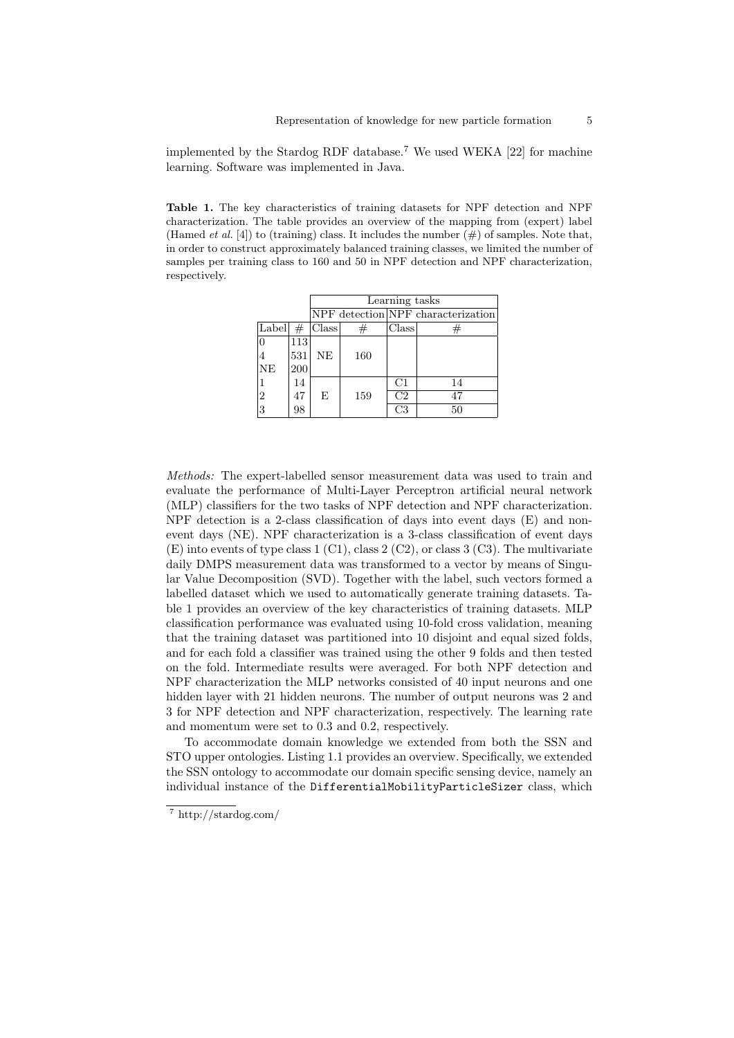implemented by the Stardog RDF database.<sup>7</sup> We used WEKA [22] for machine learning. Software was implemented in Java.

Table 1. The key characteristics of training datasets for NPF detection and NPF characterization. The table provides an overview of the mapping from (expert) label (Hamed *et al.* [4]) to (training) class. It includes the number  $(\#)$  of samples. Note that, in order to construct approximately balanced training classes, we limited the number of samples per training class to 160 and 50 in NPF detection and NPF characterization, respectively.

|                                      |            | Learning tasks |     |                                    |    |
|--------------------------------------|------------|----------------|-----|------------------------------------|----|
|                                      |            |                |     | NPF detection NPF characterization |    |
| Label                                | $\ddot{+}$ | Class          | #   | Class                              | #  |
|                                      | 113        |                |     |                                    |    |
| 4                                    | 531        | <b>NE</b>      | 160 |                                    |    |
| NE                                   | 200        |                |     |                                    |    |
|                                      | 14         |                |     | C1                                 | 14 |
| $\begin{array}{c} 2 \ 3 \end{array}$ | 47         | E              | 159 | C2                                 | 47 |
|                                      | 98         |                |     | C3                                 | 50 |

Methods: The expert-labelled sensor measurement data was used to train and evaluate the performance of Multi-Layer Perceptron artificial neural network (MLP) classifiers for the two tasks of NPF detection and NPF characterization. NPF detection is a 2-class classification of days into event days (E) and nonevent days (NE). NPF characterization is a 3-class classification of event days  $(E)$  into events of type class 1 (C1), class 2 (C2), or class 3 (C3). The multivariate daily DMPS measurement data was transformed to a vector by means of Singular Value Decomposition (SVD). Together with the label, such vectors formed a labelled dataset which we used to automatically generate training datasets. Table 1 provides an overview of the key characteristics of training datasets. MLP classification performance was evaluated using 10-fold cross validation, meaning that the training dataset was partitioned into 10 disjoint and equal sized folds, and for each fold a classifier was trained using the other 9 folds and then tested on the fold. Intermediate results were averaged. For both NPF detection and NPF characterization the MLP networks consisted of 40 input neurons and one hidden layer with 21 hidden neurons. The number of output neurons was 2 and 3 for NPF detection and NPF characterization, respectively. The learning rate and momentum were set to 0.3 and 0.2, respectively.

To accommodate domain knowledge we extended from both the SSN and STO upper ontologies. Listing 1.1 provides an overview. Specifically, we extended the SSN ontology to accommodate our domain specific sensing device, namely an individual instance of the DifferentialMobilityParticleSizer class, which

<sup>7</sup> http://stardog.com/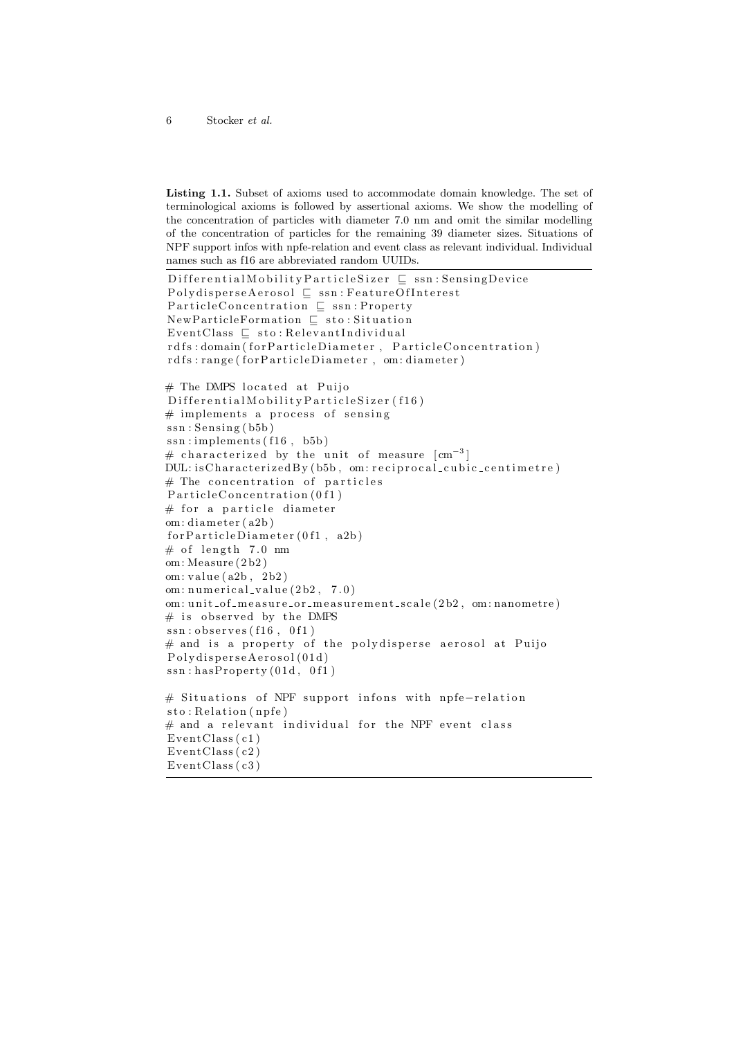Listing 1.1. Subset of axioms used to accommodate domain knowledge. The set of terminological axioms is followed by assertional axioms. We show the modelling of the concentration of particles with diameter 7.0 nm and omit the similar modelling of the concentration of particles for the remaining 39 diameter sizes. Situations of NPF support infos with npfe-relation and event class as relevant individual. Individual names such as f16 are abbreviated random UUIDs.

```
\text{DifferentialM}o bilit y Particle Sizer \sqsubset ssn : Sensing Device
PolydisperseAerosol \subseteq ssn : FeatureOfInterestParticleConcentration \subseteq ssn : Property{\rm NewParticle Formation} \ \sqsubseteq \ \textit{sto} : \textit{Situation}\begin{split} \textsc{EventClass} \: \sqsubseteq \: \texttt{sto} : \texttt{RelevantIndividual} \end{split}rdfs: domain (for Particle Diameter, Particle Concentration)
rdfs: range (forParticleDiameter, om: diameter)
# The DMPS located at Puijo
Differential M obility Particle Size (f16)# implements a process of sensing
ssn : Sensing (b5b)ssn: implements (f16, b5b)# characterized by the unit of measure \lceil cm<sup>-3</sup>\rceilDUL: is Characterized By (b5b, om: reciprocal_cubic_centimetre)
# The concentration of particles
Particle Concentration (0f1)# for a particle diameter
om: di ame te r ( a2b )
for Particle Diameter (0f1, a2b)# of length 7.0 nm
om: Measure ( 2 b2 )
om: value(a2b, 2b2)om: numerical_value(2b2, 7.0)om: unit_of_measure_or_measurement_scale(2b2, om:nanometre)
# is observed by the DMPS
ssn : observes(f16, 0f1)# and is a property of the polydisperse aerosol at Puijo
PolydisperseAerosol(01d)
ssn: has Property (01d, 0f1)# Situations of NPF support infons with npfe-relation
sto: Relation (npfe)
# and a relevant individual for the NPF event class
EventClass(c1)EventClass(c2)EventClass(c3)
```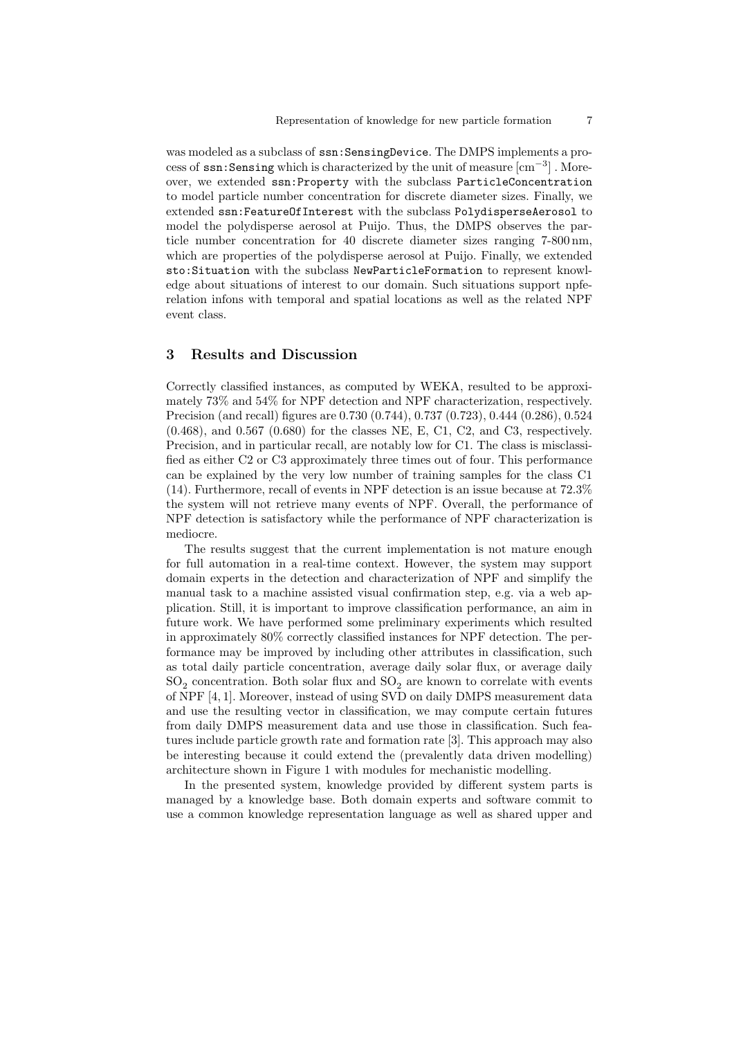was modeled as a subclass of  $\texttt{ssn}$ : SensingDevice. The DMPS implements a process of ssn:Sensing which is characterized by the unit of measure [cm−<sup>3</sup> ] . Moreover, we extended ssn:Property with the subclass ParticleConcentration to model particle number concentration for discrete diameter sizes. Finally, we extended ssn:FeatureOfInterest with the subclass PolydisperseAerosol to model the polydisperse aerosol at Puijo. Thus, the DMPS observes the particle number concentration for 40 discrete diameter sizes ranging 7-800 nm, which are properties of the polydisperse aerosol at Puijo. Finally, we extended sto:Situation with the subclass NewParticleFormation to represent knowledge about situations of interest to our domain. Such situations support npferelation infons with temporal and spatial locations as well as the related NPF event class.

## 3 Results and Discussion

Correctly classified instances, as computed by WEKA, resulted to be approximately 73% and 54% for NPF detection and NPF characterization, respectively. Precision (and recall) figures are 0.730 (0.744), 0.737 (0.723), 0.444 (0.286), 0.524 (0.468), and 0.567 (0.680) for the classes NE, E, C1, C2, and C3, respectively. Precision, and in particular recall, are notably low for C1. The class is misclassified as either C2 or C3 approximately three times out of four. This performance can be explained by the very low number of training samples for the class C1 (14). Furthermore, recall of events in NPF detection is an issue because at 72.3% the system will not retrieve many events of NPF. Overall, the performance of NPF detection is satisfactory while the performance of NPF characterization is mediocre.

The results suggest that the current implementation is not mature enough for full automation in a real-time context. However, the system may support domain experts in the detection and characterization of NPF and simplify the manual task to a machine assisted visual confirmation step, e.g. via a web application. Still, it is important to improve classification performance, an aim in future work. We have performed some preliminary experiments which resulted in approximately 80% correctly classified instances for NPF detection. The performance may be improved by including other attributes in classification, such as total daily particle concentration, average daily solar flux, or average daily  $\mathrm{SO}_2$  concentration. Both solar flux and  $\mathrm{SO}_2$  are known to correlate with events of NPF [4, 1]. Moreover, instead of using SVD on daily DMPS measurement data and use the resulting vector in classification, we may compute certain futures from daily DMPS measurement data and use those in classification. Such features include particle growth rate and formation rate [3]. This approach may also be interesting because it could extend the (prevalently data driven modelling) architecture shown in Figure 1 with modules for mechanistic modelling.

In the presented system, knowledge provided by different system parts is managed by a knowledge base. Both domain experts and software commit to use a common knowledge representation language as well as shared upper and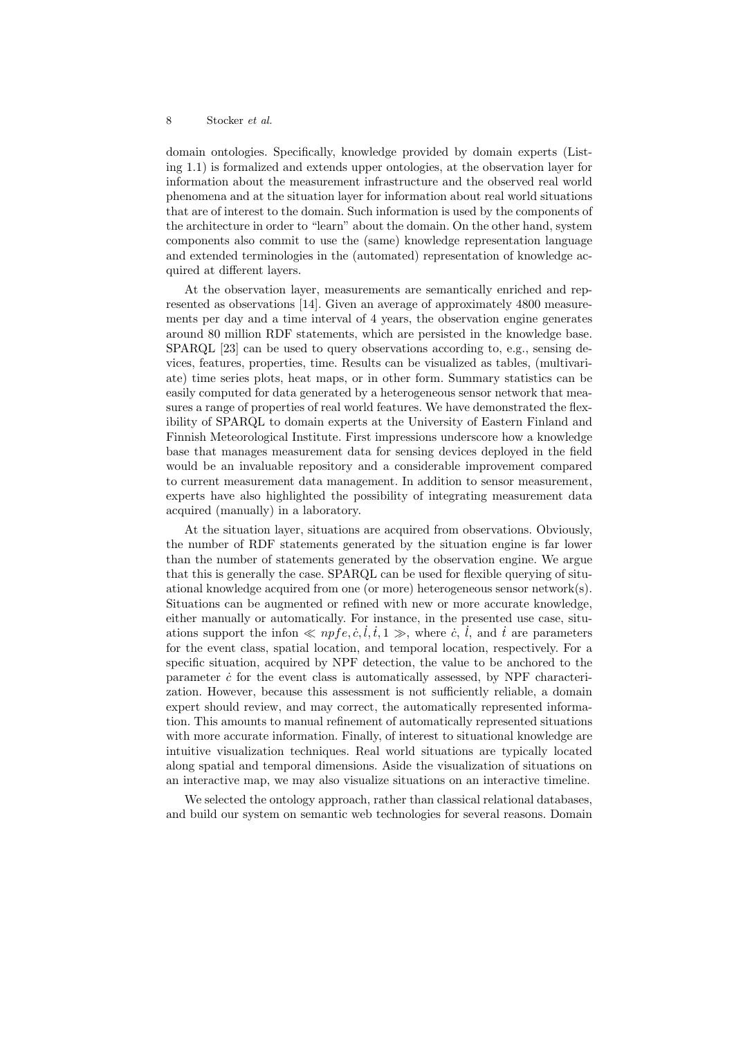domain ontologies. Specifically, knowledge provided by domain experts (Listing 1.1) is formalized and extends upper ontologies, at the observation layer for information about the measurement infrastructure and the observed real world phenomena and at the situation layer for information about real world situations that are of interest to the domain. Such information is used by the components of the architecture in order to "learn" about the domain. On the other hand, system components also commit to use the (same) knowledge representation language and extended terminologies in the (automated) representation of knowledge acquired at different layers.

At the observation layer, measurements are semantically enriched and represented as observations [14]. Given an average of approximately 4800 measurements per day and a time interval of 4 years, the observation engine generates around 80 million RDF statements, which are persisted in the knowledge base. SPARQL [23] can be used to query observations according to, e.g., sensing devices, features, properties, time. Results can be visualized as tables, (multivariate) time series plots, heat maps, or in other form. Summary statistics can be easily computed for data generated by a heterogeneous sensor network that measures a range of properties of real world features. We have demonstrated the flexibility of SPARQL to domain experts at the University of Eastern Finland and Finnish Meteorological Institute. First impressions underscore how a knowledge base that manages measurement data for sensing devices deployed in the field would be an invaluable repository and a considerable improvement compared to current measurement data management. In addition to sensor measurement, experts have also highlighted the possibility of integrating measurement data acquired (manually) in a laboratory.

At the situation layer, situations are acquired from observations. Obviously, the number of RDF statements generated by the situation engine is far lower than the number of statements generated by the observation engine. We argue that this is generally the case. SPARQL can be used for flexible querying of situational knowledge acquired from one (or more) heterogeneous sensor network(s). Situations can be augmented or refined with new or more accurate knowledge, either manually or automatically. For instance, in the presented use case, situations support the infon  $\ll npfe, \dot{c}, \dot{l}, \dot{t}, 1 \gg$ , where  $\dot{c}, \dot{l},$  and  $\dot{t}$  are parameters for the event class, spatial location, and temporal location, respectively. For a specific situation, acquired by NPF detection, the value to be anchored to the parameter  $\dot{c}$  for the event class is automatically assessed, by NPF characterization. However, because this assessment is not sufficiently reliable, a domain expert should review, and may correct, the automatically represented information. This amounts to manual refinement of automatically represented situations with more accurate information. Finally, of interest to situational knowledge are intuitive visualization techniques. Real world situations are typically located along spatial and temporal dimensions. Aside the visualization of situations on an interactive map, we may also visualize situations on an interactive timeline.

We selected the ontology approach, rather than classical relational databases, and build our system on semantic web technologies for several reasons. Domain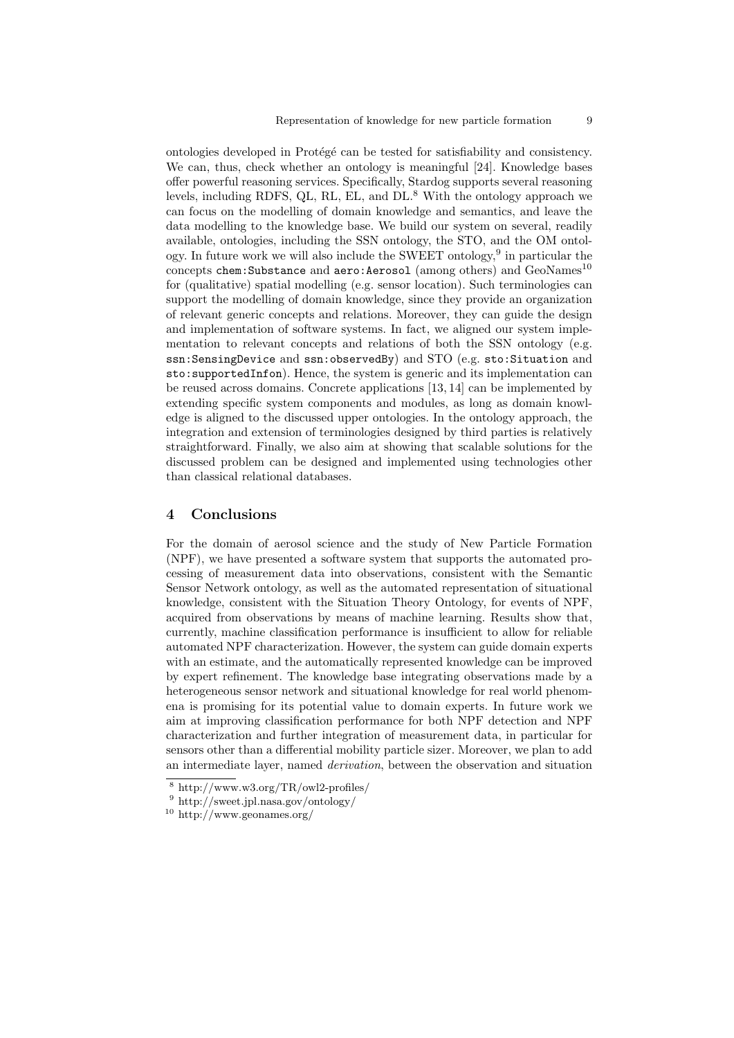ontologies developed in Protégé can be tested for satisfiability and consistency. We can, thus, check whether an ontology is meaningful [24]. Knowledge bases offer powerful reasoning services. Specifically, Stardog supports several reasoning levels, including RDFS, QL, RL, EL, and  $DL<sup>8</sup>$  With the ontology approach we can focus on the modelling of domain knowledge and semantics, and leave the data modelling to the knowledge base. We build our system on several, readily available, ontologies, including the SSN ontology, the STO, and the OM ontology. In future work we will also include the SWEET ontology,<sup>9</sup> in particular the concepts chem: Substance and aero: Aerosol (among others) and GeoNames<sup>10</sup> for (qualitative) spatial modelling (e.g. sensor location). Such terminologies can support the modelling of domain knowledge, since they provide an organization of relevant generic concepts and relations. Moreover, they can guide the design and implementation of software systems. In fact, we aligned our system implementation to relevant concepts and relations of both the SSN ontology (e.g. ssn:SensingDevice and ssn:observedBy) and STO (e.g. sto:Situation and sto:supportedInfon). Hence, the system is generic and its implementation can be reused across domains. Concrete applications [13, 14] can be implemented by extending specific system components and modules, as long as domain knowledge is aligned to the discussed upper ontologies. In the ontology approach, the integration and extension of terminologies designed by third parties is relatively straightforward. Finally, we also aim at showing that scalable solutions for the discussed problem can be designed and implemented using technologies other than classical relational databases.

## 4 Conclusions

For the domain of aerosol science and the study of New Particle Formation (NPF), we have presented a software system that supports the automated processing of measurement data into observations, consistent with the Semantic Sensor Network ontology, as well as the automated representation of situational knowledge, consistent with the Situation Theory Ontology, for events of NPF, acquired from observations by means of machine learning. Results show that, currently, machine classification performance is insufficient to allow for reliable automated NPF characterization. However, the system can guide domain experts with an estimate, and the automatically represented knowledge can be improved by expert refinement. The knowledge base integrating observations made by a heterogeneous sensor network and situational knowledge for real world phenomena is promising for its potential value to domain experts. In future work we aim at improving classification performance for both NPF detection and NPF characterization and further integration of measurement data, in particular for sensors other than a differential mobility particle sizer. Moreover, we plan to add an intermediate layer, named derivation, between the observation and situation

<sup>8</sup> http://www.w3.org/TR/owl2-profiles/

<sup>9</sup> http://sweet.jpl.nasa.gov/ontology/

 $^{10}$ http://www.geonames.org/  $\,$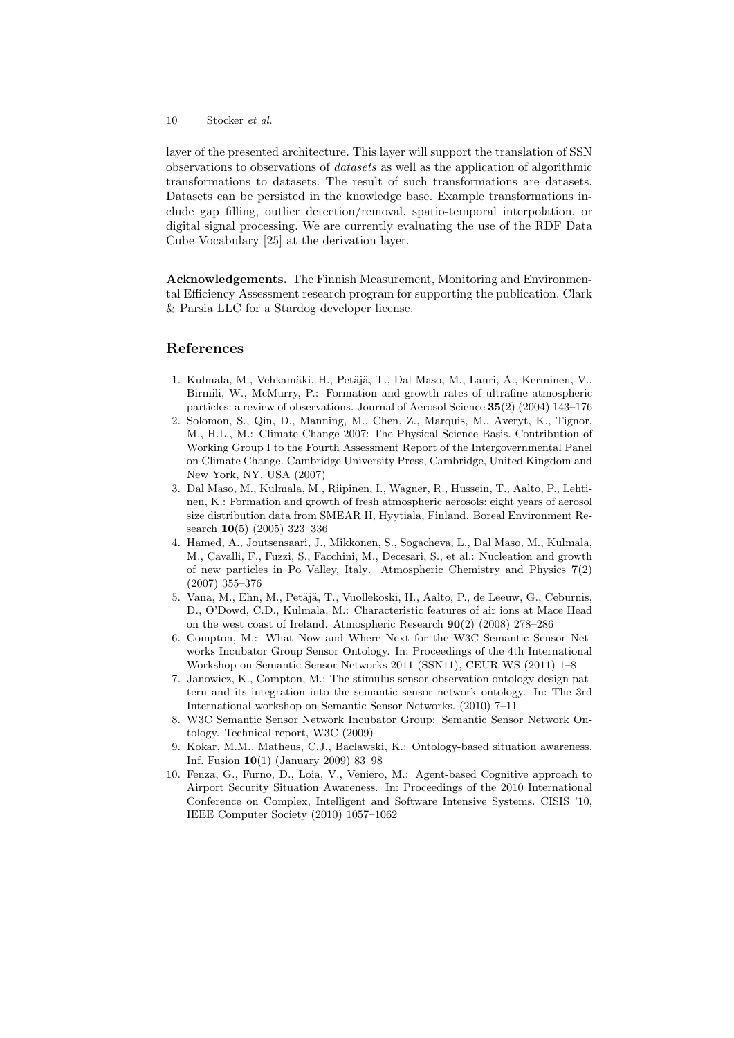layer of the presented architecture. This layer will support the translation of SSN observations to observations of datasets as well as the application of algorithmic transformations to datasets. The result of such transformations are datasets. Datasets can be persisted in the knowledge base. Example transformations include gap filling, outlier detection/removal, spatio-temporal interpolation, or digital signal processing. We are currently evaluating the use of the RDF Data Cube Vocabulary [25] at the derivation layer.

Acknowledgements. The Finnish Measurement, Monitoring and Environmental Efficiency Assessment research program for supporting the publication. Clark & Parsia LLC for a Stardog developer license.

## References

- 1. Kulmala, M., Vehkamäki, H., Petäjä, T., Dal Maso, M., Lauri, A., Kerminen, V., Birmili, W., McMurry, P.: Formation and growth rates of ultrafine atmospheric particles: a review of observations. Journal of Aerosol Science 35(2) (2004) 143–176
- 2. Solomon, S., Qin, D., Manning, M., Chen, Z., Marquis, M., Averyt, K., Tignor, M., H.L., M.: Climate Change 2007: The Physical Science Basis. Contribution of Working Group I to the Fourth Assessment Report of the Intergovernmental Panel on Climate Change. Cambridge University Press, Cambridge, United Kingdom and New York, NY, USA (2007)
- 3. Dal Maso, M., Kulmala, M., Riipinen, I., Wagner, R., Hussein, T., Aalto, P., Lehtinen, K.: Formation and growth of fresh atmospheric aerosols: eight years of aerosol size distribution data from SMEAR II, Hyytiala, Finland. Boreal Environment Research 10(5) (2005) 323–336
- 4. Hamed, A., Joutsensaari, J., Mikkonen, S., Sogacheva, L., Dal Maso, M., Kulmala, M., Cavalli, F., Fuzzi, S., Facchini, M., Decesari, S., et al.: Nucleation and growth of new particles in Po Valley, Italy. Atmospheric Chemistry and Physics 7(2) (2007) 355–376
- 5. Vana, M., Ehn, M., Petäjä, T., Vuollekoski, H., Aalto, P., de Leeuw, G., Ceburnis, D., O'Dowd, C.D., Kulmala, M.: Characteristic features of air ions at Mace Head on the west coast of Ireland. Atmospheric Research 90(2) (2008) 278–286
- 6. Compton, M.: What Now and Where Next for the W3C Semantic Sensor Networks Incubator Group Sensor Ontology. In: Proceedings of the 4th International Workshop on Semantic Sensor Networks 2011 (SSN11), CEUR-WS (2011) 1–8
- 7. Janowicz, K., Compton, M.: The stimulus-sensor-observation ontology design pattern and its integration into the semantic sensor network ontology. In: The 3rd International workshop on Semantic Sensor Networks. (2010) 7–11
- 8. W3C Semantic Sensor Network Incubator Group: Semantic Sensor Network Ontology. Technical report, W3C (2009)
- 9. Kokar, M.M., Matheus, C.J., Baclawski, K.: Ontology-based situation awareness. Inf. Fusion 10(1) (January 2009) 83–98
- 10. Fenza, G., Furno, D., Loia, V., Veniero, M.: Agent-based Cognitive approach to Airport Security Situation Awareness. In: Proceedings of the 2010 International Conference on Complex, Intelligent and Software Intensive Systems. CISIS '10, IEEE Computer Society (2010) 1057–1062